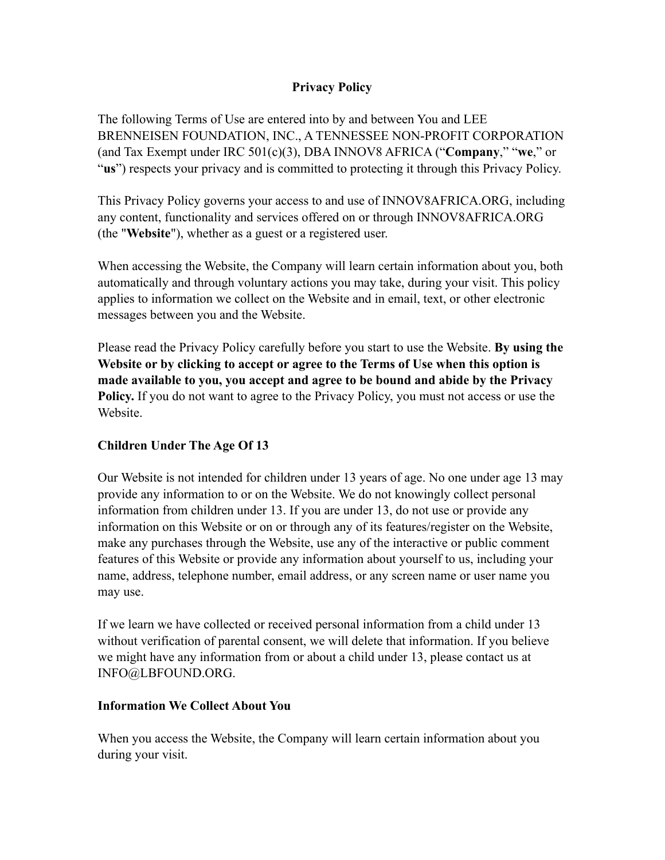### **Privacy Policy**

The following Terms of Use are entered into by and between You and LEE BRENNEISEN FOUNDATION, INC., A TENNESSEE NON-PROFIT CORPORATION (and Tax Exempt under IRC 501(c)(3), DBA INNOV8 AFRICA ("**Company**," "**we**," or "**us**") respects your privacy and is committed to protecting it through this Privacy Policy.

This Privacy Policy governs your access to and use of INNOV8AFRICA.ORG, including any content, functionality and services offered on or through INNOV8AFRICA.ORG (the "**Website**"), whether as a guest or a registered user.

When accessing the Website, the Company will learn certain information about you, both automatically and through voluntary actions you may take, during your visit. This policy applies to information we collect on the Website and in email, text, or other electronic messages between you and the Website.

Please read the Privacy Policy carefully before you start to use the Website. **By using the Website or by clicking to accept or agree to the Terms of Use when this option is made available to you, you accept and agree to be bound and abide by the Privacy Policy.** If you do not want to agree to the Privacy Policy, you must not access or use the Website.

### **Children Under The Age Of 13**

Our Website is not intended for children under 13 years of age. No one under age 13 may provide any information to or on the Website. We do not knowingly collect personal information from children under 13. If you are under 13, do not use or provide any information on this Website or on or through any of its features/register on the Website, make any purchases through the Website, use any of the interactive or public comment features of this Website or provide any information about yourself to us, including your name, address, telephone number, email address, or any screen name or user name you may use.

If we learn we have collected or received personal information from a child under 13 without verification of parental consent, we will delete that information. If you believe we might have any information from or about a child under 13, please contact us at INFO@LBFOUND.ORG.

#### **Information We Collect About You**

When you access the Website, the Company will learn certain information about you during your visit.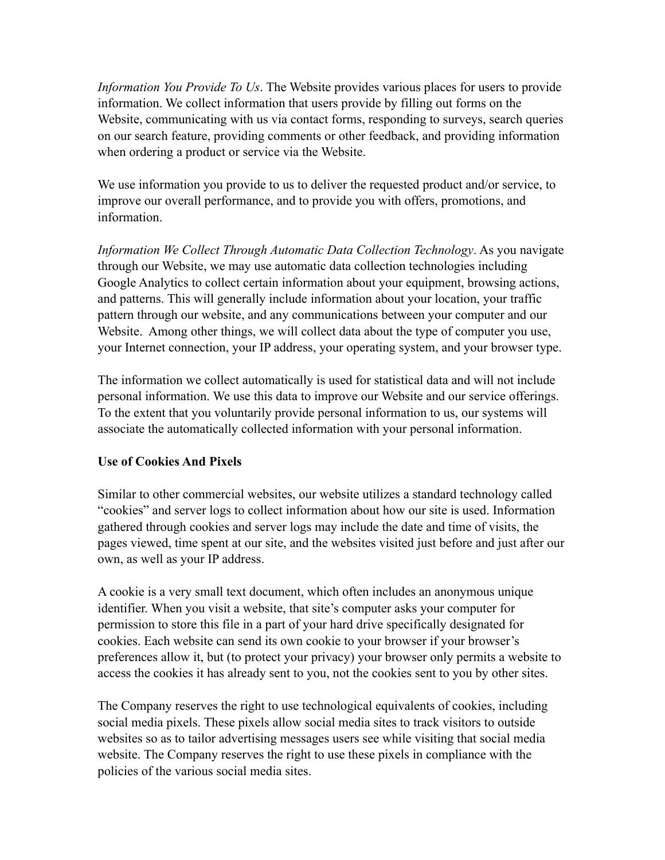*Information You Provide To Us*. The Website provides various places for users to provide information. We collect information that users provide by filling out forms on the Website, communicating with us via contact forms, responding to surveys, search queries on our search feature, providing comments or other feedback, and providing information when ordering a product or service via the Website.

We use information you provide to us to deliver the requested product and/or service, to improve our overall performance, and to provide you with offers, promotions, and information.

*Information We Collect Through Automatic Data Collection Technology*. As you navigate through our Website, we may use automatic data collection technologies including Google Analytics to collect certain information about your equipment, browsing actions, and patterns. This will generally include information about your location, your traffic pattern through our website, and any communications between your computer and our Website. Among other things, we will collect data about the type of computer you use, your Internet connection, your IP address, your operating system, and your browser type.

The information we collect automatically is used for statistical data and will not include personal information. We use this data to improve our Website and our service offerings. To the extent that you voluntarily provide personal information to us, our systems will associate the automatically collected information with your personal information.

### **Use of Cookies And Pixels**

Similar to other commercial websites, our website utilizes a standard technology called "cookies" and server logs to collect information about how our site is used. Information gathered through cookies and server logs may include the date and time of visits, the pages viewed, time spent at our site, and the websites visited just before and just after our own, as well as your IP address.

A cookie is a very small text document, which often includes an anonymous unique identifier. When you visit a website, that site's computer asks your computer for permission to store this file in a part of your hard drive specifically designated for cookies. Each website can send its own cookie to your browser if your browser's preferences allow it, but (to protect your privacy) your browser only permits a website to access the cookies it has already sent to you, not the cookies sent to you by other sites.

The Company reserves the right to use technological equivalents of cookies, including social media pixels. These pixels allow social media sites to track visitors to outside websites so as to tailor advertising messages users see while visiting that social media website. The Company reserves the right to use these pixels in compliance with the policies of the various social media sites.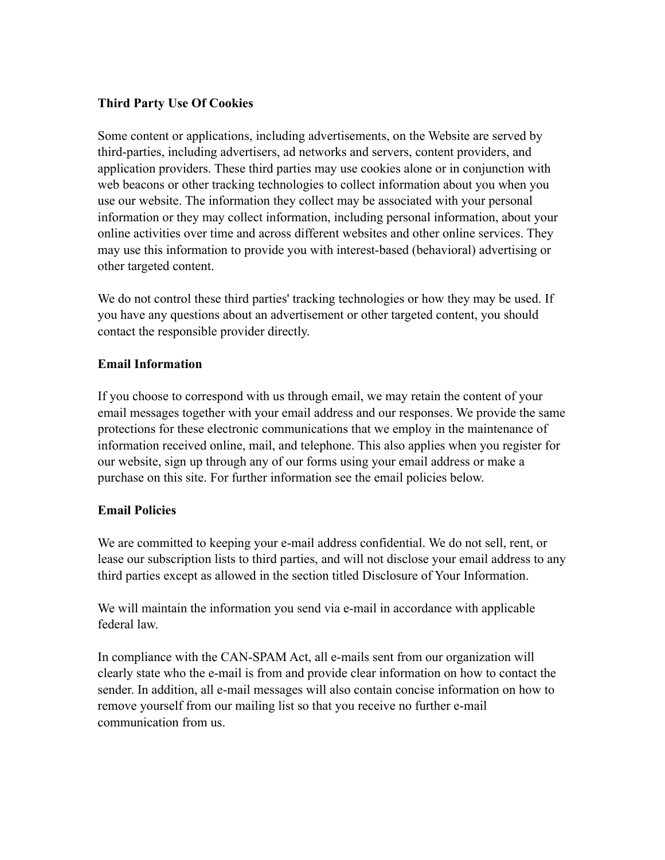## **Third Party Use Of Cookies**

Some content or applications, including advertisements, on the Website are served by third-parties, including advertisers, ad networks and servers, content providers, and application providers. These third parties may use cookies alone or in conjunction with web beacons or other tracking technologies to collect information about you when you use our website. The information they collect may be associated with your personal information or they may collect information, including personal information, about your online activities over time and across different websites and other online services. They may use this information to provide you with interest-based (behavioral) advertising or other targeted content.

We do not control these third parties' tracking technologies or how they may be used. If you have any questions about an advertisement or other targeted content, you should contact the responsible provider directly.

### **Email Information**

If you choose to correspond with us through email, we may retain the content of your email messages together with your email address and our responses. We provide the same protections for these electronic communications that we employ in the maintenance of information received online, mail, and telephone. This also applies when you register for our website, sign up through any of our forms using your email address or make a purchase on this site. For further information see the email policies below.

### **Email Policies**

We are committed to keeping your e-mail address confidential. We do not sell, rent, or lease our subscription lists to third parties, and will not disclose your email address to any third parties except as allowed in the section titled Disclosure of Your Information.

We will maintain the information you send via e-mail in accordance with applicable federal law.

In compliance with the CAN-SPAM Act, all e-mails sent from our organization will clearly state who the e-mail is from and provide clear information on how to contact the sender. In addition, all e-mail messages will also contain concise information on how to remove yourself from our mailing list so that you receive no further e-mail communication from us.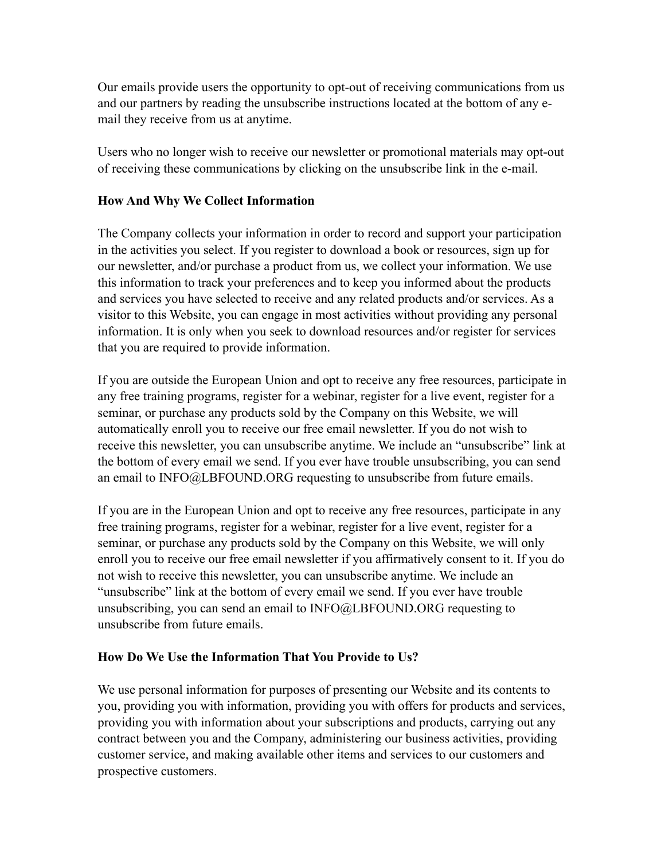Our emails provide users the opportunity to opt-out of receiving communications from us and our partners by reading the unsubscribe instructions located at the bottom of any email they receive from us at anytime.

Users who no longer wish to receive our newsletter or promotional materials may opt-out of receiving these communications by clicking on the unsubscribe link in the e-mail.

### **How And Why We Collect Information**

The Company collects your information in order to record and support your participation in the activities you select. If you register to download a book or resources, sign up for our newsletter, and/or purchase a product from us, we collect your information. We use this information to track your preferences and to keep you informed about the products and services you have selected to receive and any related products and/or services. As a visitor to this Website, you can engage in most activities without providing any personal information. It is only when you seek to download resources and/or register for services that you are required to provide information.

If you are outside the European Union and opt to receive any free resources, participate in any free training programs, register for a webinar, register for a live event, register for a seminar, or purchase any products sold by the Company on this Website, we will automatically enroll you to receive our free email newsletter. If you do not wish to receive this newsletter, you can unsubscribe anytime. We include an "unsubscribe" link at the bottom of every email we send. If you ever have trouble unsubscribing, you can send an email to INFO@LBFOUND.ORG requesting to unsubscribe from future emails.

If you are in the European Union and opt to receive any free resources, participate in any free training programs, register for a webinar, register for a live event, register for a seminar, or purchase any products sold by the Company on this Website, we will only enroll you to receive our free email newsletter if you affirmatively consent to it. If you do not wish to receive this newsletter, you can unsubscribe anytime. We include an "unsubscribe" link at the bottom of every email we send. If you ever have trouble unsubscribing, you can send an email to INFO@LBFOUND.ORG requesting to unsubscribe from future emails.

# **How Do We Use the Information That You Provide to Us?**

We use personal information for purposes of presenting our Website and its contents to you, providing you with information, providing you with offers for products and services, providing you with information about your subscriptions and products, carrying out any contract between you and the Company, administering our business activities, providing customer service, and making available other items and services to our customers and prospective customers.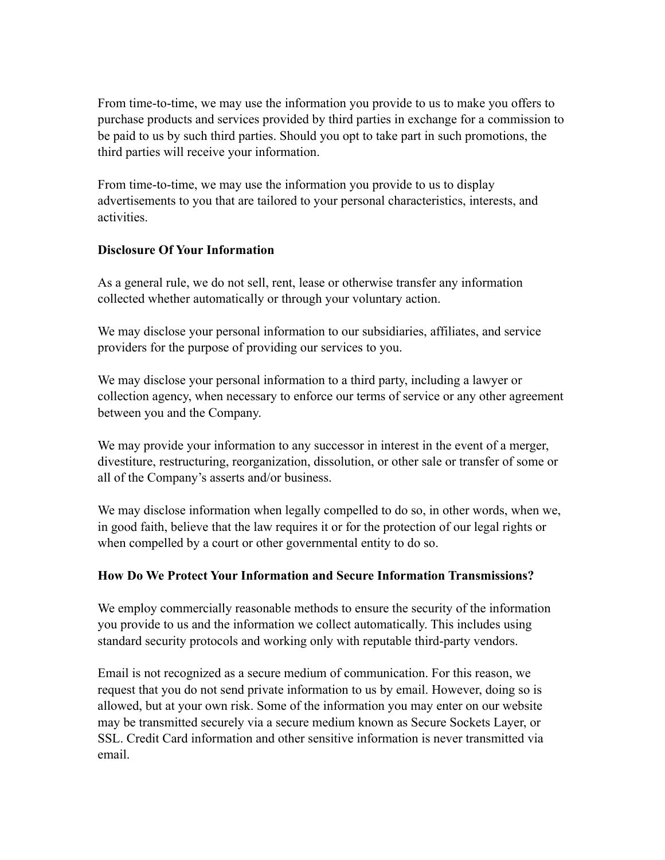From time-to-time, we may use the information you provide to us to make you offers to purchase products and services provided by third parties in exchange for a commission to be paid to us by such third parties. Should you opt to take part in such promotions, the third parties will receive your information.

From time-to-time, we may use the information you provide to us to display advertisements to you that are tailored to your personal characteristics, interests, and activities.

### **Disclosure Of Your Information**

As a general rule, we do not sell, rent, lease or otherwise transfer any information collected whether automatically or through your voluntary action.

We may disclose your personal information to our subsidiaries, affiliates, and service providers for the purpose of providing our services to you.

We may disclose your personal information to a third party, including a lawyer or collection agency, when necessary to enforce our terms of service or any other agreement between you and the Company.

We may provide your information to any successor in interest in the event of a merger, divestiture, restructuring, reorganization, dissolution, or other sale or transfer of some or all of the Company's asserts and/or business.

We may disclose information when legally compelled to do so, in other words, when we, in good faith, believe that the law requires it or for the protection of our legal rights or when compelled by a court or other governmental entity to do so.

### **How Do We Protect Your Information and Secure Information Transmissions?**

We employ commercially reasonable methods to ensure the security of the information you provide to us and the information we collect automatically. This includes using standard security protocols and working only with reputable third-party vendors.

Email is not recognized as a secure medium of communication. For this reason, we request that you do not send private information to us by email. However, doing so is allowed, but at your own risk. Some of the information you may enter on our website may be transmitted securely via a secure medium known as Secure Sockets Layer, or SSL. Credit Card information and other sensitive information is never transmitted via email.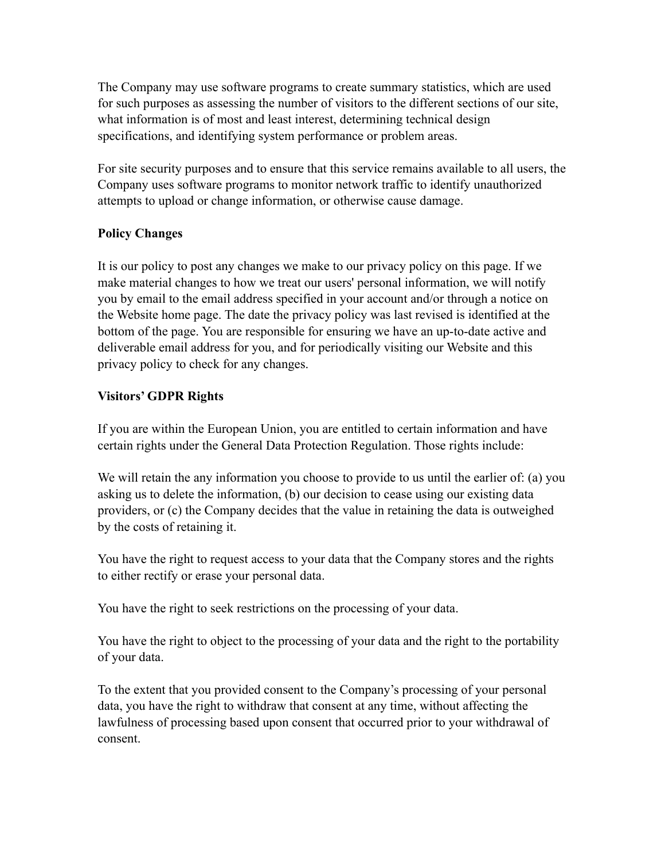The Company may use software programs to create summary statistics, which are used for such purposes as assessing the number of visitors to the different sections of our site, what information is of most and least interest, determining technical design specifications, and identifying system performance or problem areas.

For site security purposes and to ensure that this service remains available to all users, the Company uses software programs to monitor network traffic to identify unauthorized attempts to upload or change information, or otherwise cause damage.

### **Policy Changes**

It is our policy to post any changes we make to our privacy policy on this page. If we make material changes to how we treat our users' personal information, we will notify you by email to the email address specified in your account and/or through a notice on the Website home page. The date the privacy policy was last revised is identified at the bottom of the page. You are responsible for ensuring we have an up-to-date active and deliverable email address for you, and for periodically visiting our Website and this privacy policy to check for any changes.

### **Visitors' GDPR Rights**

If you are within the European Union, you are entitled to certain information and have certain rights under the General Data Protection Regulation. Those rights include:

We will retain the any information you choose to provide to us until the earlier of: (a) you asking us to delete the information, (b) our decision to cease using our existing data providers, or (c) the Company decides that the value in retaining the data is outweighed by the costs of retaining it.

You have the right to request access to your data that the Company stores and the rights to either rectify or erase your personal data.

You have the right to seek restrictions on the processing of your data.

You have the right to object to the processing of your data and the right to the portability of your data.

To the extent that you provided consent to the Company's processing of your personal data, you have the right to withdraw that consent at any time, without affecting the lawfulness of processing based upon consent that occurred prior to your withdrawal of consent.